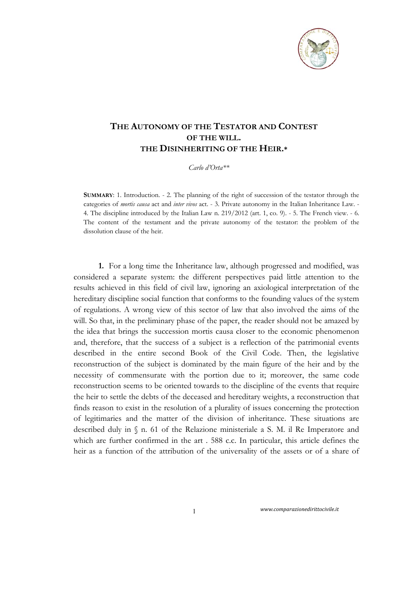

## **THE AUTONOMY OF THE TESTATOR AND CONTEST OF THE WILL. THE DISINHERITING OF THE HEIR.\***

*Carlo d'Orta\*\** 

**SUMMARY**: 1. Introduction. - 2. The planning of the right of succession of the testator through the categories of *mortis causa* act and *inter vivos* act. - 3. Private autonomy in the Italian Inheritance Law. - 4. The discipline introduced by the Italian Law n. 219/2012 (art. 1, co. 9). - 5. The French view. - 6. The content of the testament and the private autonomy of the testator: the problem of the dissolution clause of the heir.

**1.** For a long time the Inheritance law, although progressed and modified, was considered a separate system: the different perspectives paid little attention to the results achieved in this field of civil law, ignoring an axiological interpretation of the hereditary discipline social function that conforms to the founding values of the system of regulations. A wrong view of this sector of law that also involved the aims of the will. So that, in the preliminary phase of the paper, the reader should not be amazed by the idea that brings the succession mortis causa closer to the economic phenomenon and, therefore, that the success of a subject is a reflection of the patrimonial events described in the entire second Book of the Civil Code. Then, the legislative reconstruction of the subject is dominated by the main figure of the heir and by the necessity of commensurate with the portion due to it; moreover, the same code reconstruction seems to be oriented towards to the discipline of the events that require the heir to settle the debts of the deceased and hereditary weights, a reconstruction that finds reason to exist in the resolution of a plurality of issues concerning the protection of legitimaries and the matter of the division of inheritance. These situations are described duly in § n. 61 of the Relazione ministeriale a S. M. il Re Imperatore and which are further confirmed in the art . 588 c.c. In particular, this article defines the heir as a function of the attribution of the universality of the assets or of a share of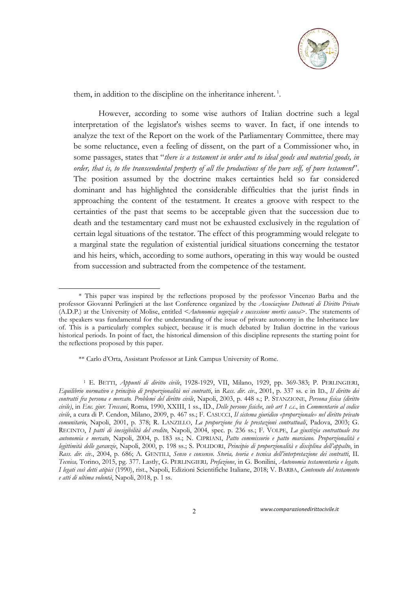

them, in addition to the discipline on the inheritance inherent.<sup>1</sup>.

However, according to some wise authors of Italian doctrine such a legal interpretation of the legislator's wishes seems to waver. In fact, if one intends to analyze the text of the Report on the work of the Parliamentary Committee, there may be some reluctance, even a feeling of dissent, on the part of a Commissioner who, in some passages, states that "*there is a testament in order and to ideal goods and material goods, in order, that is, to the transcendental property of all the productions of the pure self, of pure testament*". The position assumed by the doctrine makes certainties held so far considered dominant and has highlighted the considerable difficulties that the jurist finds in approaching the content of the testatment. It creates a groove with respect to the certainties of the past that seems to be acceptable given that the succession due to death and the testamentary card must not be exhausted exclusively in the regulation of certain legal situations of the testator. The effect of this programming would relegate to a marginal state the regulation of existential juridical situations concerning the testator and his heirs, which, according to some authors, operating in this way would be ousted from succession and subtracted from the competence of the testament.

1

<sup>\*</sup> This paper was inspired by the reflections proposed by the professor Vincenzo Barba and the professor Giovanni Perlingieri at the last Conference organized by the *Associazione Dottorati di Diritto Privato* (A.D.P.) at the University of Molise, entitled <*Autonomia negoziale e successione mortis causa*>. The statements of the speakers was fundamental for the understanding of the issue of private autonomy in the Inheritance law of. This is a particularly complex subject, because it is much debated by Italian doctrine in the various historical periods. In point of fact, the historical dimension of this discipline represents the starting point for the reflections proposed by this paper.

<sup>\*\*</sup> Carlo d'Orta, Assistant Professor at Link Campus University of Rome.

<sup>1</sup> E. BETTI, *Appunti di diritto civile*, 1928-1929, VII, Milano, 1929, pp. 369-383; P. PERLINGIERI, *Equilibrio normativo e principio di proporzionalità nei contratti*, in *Rass. dir. civ*., 2001, p. 337 ss. e in ID., *Il diritto dei contratti fra persona e mercato. Problemi del diritto civile*, Napoli, 2003, p. 448 s.; P. STANZIONE, *Persona fisica (diritto civile)*, in *Enc. giur. Treccani*, Roma, 1990, XXIII, 1 ss., ID., *Delle persone fisiche*, *sub art 1 c.c.*, in *Commentario al codice civile*, a cura di P. Cendon, Milano, 2009, p. 467 ss.; F. CASUCCI, *Il sistema giuridico «proporzionale» nel diritto privato comunitario*, Napoli, 2001, p. 378; R. LANZILLO, *La proporzione fra le prestazioni contrattuali*, Padova, 2003; G. RECINTO, *I patti di inesigibilità del credito*, Napoli, 2004, spec. p. 236 ss.; F. VOLPE, *La giustizia contrattuale tra autonomia e mercato*, Napoli, 2004, p. 183 ss.; N. CIPRIANI, *Patto commissorio e patto marciano. Proporzionalità e legittimità delle garanzie*, Napoli, 2000, p. 198 ss.; S. POLIDORI, *Principio di proporzionalità e disciplina dell'appalto*, in *Rass. dir. civ.*, 2004, p. 686; A. GENTILI, *Senso e consenso. Storia, teoria e tecnica dell'interpretazione dei contratti*, II. *Tecnica,* Torino, 2015, pg. 377. Lastly, G. PERLINGIERI*, Prefazione*, in G. Bonilini, *Autonomia testamentaria e legato. I legati così detti atipici* (1990), rist., Napoli, Edizioni Scientifiche Italiane, 2018; V. BARBA, *Contenuto del testamento e atti di ultima volontà*, Napoli, 2018, p. 1 ss.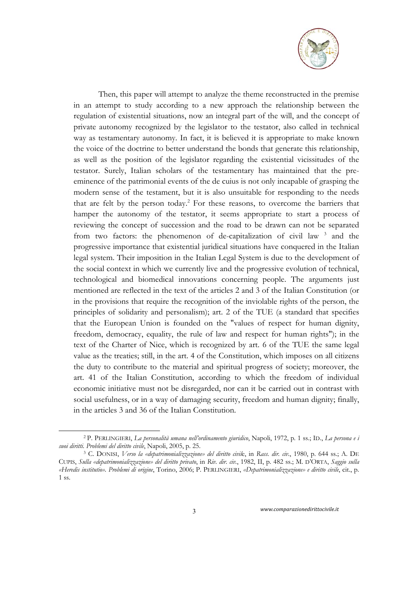

Then, this paper will attempt to analyze the theme reconstructed in the premise in an attempt to study according to a new approach the relationship between the regulation of existential situations, now an integral part of the will, and the concept of private autonomy recognized by the legislator to the testator, also called in technical way as testamentary autonomy. In fact, it is believed it is appropriate to make known the voice of the doctrine to better understand the bonds that generate this relationship, as well as the position of the legislator regarding the existential vicissitudes of the testator. Surely, Italian scholars of the testamentary has maintained that the preeminence of the patrimonial events of the de cuius is not only incapable of grasping the modern sense of the testament, but it is also unsuitable for responding to the needs that are felt by the person today.<sup>2</sup> For these reasons, to overcome the barriers that hamper the autonomy of the testator, it seems appropriate to start a process of reviewing the concept of succession and the road to be drawn can not be separated from two factors: the phenomenon of de-capitalization of civil law<sup>3</sup> and the progressive importance that existential juridical situations have conquered in the Italian legal system. Their imposition in the Italian Legal System is due to the development of the social context in which we currently live and the progressive evolution of technical, technological and biomedical innovations concerning people. The arguments just mentioned are reflected in the text of the articles 2 and 3 of the Italian Constitution (or in the provisions that require the recognition of the inviolable rights of the person, the principles of solidarity and personalism); art. 2 of the TUE (a standard that specifies that the European Union is founded on the "values of respect for human dignity, freedom, democracy, equality, the rule of law and respect for human rights"); in the text of the Charter of Nice, which is recognized by art. 6 of the TUE the same legal value as the treaties; still, in the art. 4 of the Constitution, which imposes on all citizens the duty to contribute to the material and spiritual progress of society; moreover, the art. 41 of the Italian Constitution, according to which the freedom of individual economic initiative must not be disregarded, nor can it be carried out in contrast with social usefulness, or in a way of damaging security, freedom and human dignity; finally, in the articles 3 and 36 of the Italian Constitution.

3 *www.comparazionedirittocivile.it* 

-

<sup>2</sup> P. PERLINGIERI, *La personalità umana nell'ordinamento giuridico*, Napoli, 1972, p. 1 ss.; ID., *La persona e i suoi diritti. Problemi del diritto civile*, Napoli, 2005, p. 25. 3 C. DONISI, *Verso la «depatrimonializzazione» del diritto civil*e, in *Rass. dir. civ.*, 1980, p. 644 ss.; A. DE

CUPIS, *Sulla «depatrimonializzazione» del diritto privato*, in *Riv. dir. civ.*, 1982, II, p. 482 ss.; M. D'ORTA, *Saggio sulla «Heredis institutio». Problemi di origine*, Torino, 2006; P. PERLINGIERI, *«Depatrimonializzazione» e diritto civile*, cit., p. 1 ss.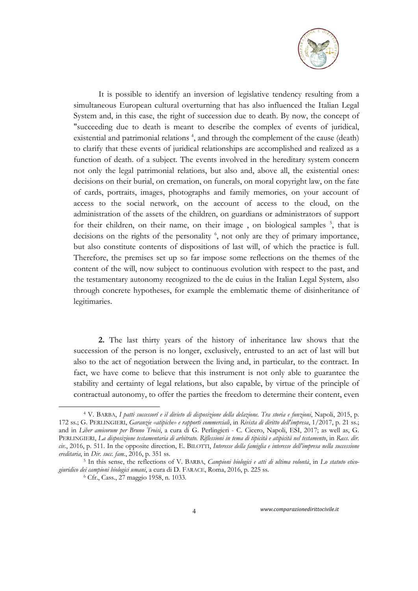

It is possible to identify an inversion of legislative tendency resulting from a simultaneous European cultural overturning that has also influenced the Italian Legal System and, in this case, the right of succession due to death. By now, the concept of "succeeding due to death is meant to describe the complex of events of juridical, existential and patrimonial relations<sup>4</sup>, and through the complement of the cause (death) to clarify that these events of juridical relationships are accomplished and realized as a function of death. of a subject. The events involved in the hereditary system concern not only the legal patrimonial relations, but also and, above all, the existential ones: decisions on their burial, on cremation, on funerals, on moral copyright law, on the fate of cards, portraits, images, photographs and family memories, on your account of access to the social network, on the account of access to the cloud, on the administration of the assets of the children, on guardians or administrators of support for their children, on their name, on their image, on biological samples<sup>5</sup>, that is decisions on the rights of the personality <sup>6</sup>, not only are they of primary importance, but also constitute contents of dispositions of last will, of which the practice is full. Therefore, the premises set up so far impose some reflections on the themes of the content of the will, now subject to continuous evolution with respect to the past, and the testamentary autonomy recognized to the de cuius in the Italian Legal System, also through concrete hypotheses, for example the emblematic theme of disinheritance of legitimaries.

**2.** The last thirty years of the history of inheritance law shows that the succession of the person is no longer, exclusively, entrusted to an act of last will but also to the act of negotiation between the living and, in particular, to the contract. In fact, we have come to believe that this instrument is not only able to guarantee the stability and certainty of legal relations, but also capable, by virtue of the principle of contractual autonomy, to offer the parties the freedom to determine their content, even

-

<sup>4</sup> V. BARBA, *I patti successorî e il divieto di disposizione della delazione. Tra storia e funzioni*, Napoli, 2015, p. 172 ss.; G. PERLINGIERI, *Garanzie «atipiche» e rapporti commerciali*, in *Rivista di diritto dell'impresa*, 1/2017, p. 21 ss.; and in *Liber amicorum per Bruno Troisi*, a cura di G. Perlingieri - C. Cicero, Napoli, ESI, 2017; as well as, G. PERLINGIERI, *La disposizione testamentaria di arbitrato. Riflessioni in tema di tipicità e atipicità nel testamento*, in *Rass. dir. civ.*, 2016, p. 511. In the opposite direction, E. BILOTTI, *Interesse della famiglia e interesse dell'impresa nella successione ereditaria*, in *Dir. succ. fam.*, 2016, p. 351 ss. 5 In this sense, the reflections of V. BARBA, *Campioni biologici e atti di ultima volontà*, in *Lo statuto etico-*

*giuridico dei campioni biologici umani*, a cura di D. FARACE, Roma, 2016, p. 225 ss. 6 Cfr., Cass., 27 maggio 1958, n. 1033.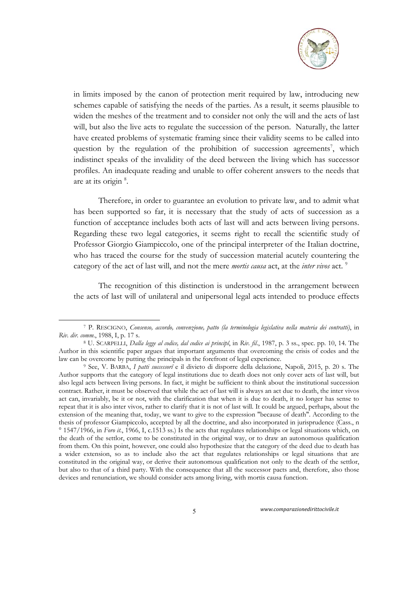

in limits imposed by the canon of protection merit required by law, introducing new schemes capable of satisfying the needs of the parties. As a result, it seems plausible to widen the meshes of the treatment and to consider not only the will and the acts of last will, but also the live acts to regulate the succession of the person. Naturally, the latter have created problems of systematic framing since their validity seems to be called into question by the regulation of the prohibition of succession agreements<sup>7</sup>, which indistinct speaks of the invalidity of the deed between the living which has successor profiles. An inadequate reading and unable to offer coherent answers to the needs that are at its origin  $8$ .

Therefore, in order to guarantee an evolution to private law, and to admit what has been supported so far, it is necessary that the study of acts of succession as a function of acceptance includes both acts of last will and acts between living persons. Regarding these two legal categories, it seems right to recall the scientific study of Professor Giorgio Giampiccolo, one of the principal interpreter of the Italian doctrine, who has traced the course for the study of succession material acutely countering the category of the act of last will, and not the mere *mortis causa* act, at the *inter vivos* act. 9

The recognition of this distinction is understood in the arrangement between the acts of last will of unilateral and unipersonal legal acts intended to produce effects

1

<sup>7</sup> P. RESCIGNO, *Consenso, accordo, convenzione, patto (la terminologia legislativa nella materia dei contratti)*, in

*Riv. dir. comm.*, 1988, I, p. 17 s. 8 U. SCARPELLI, *Dalla legge al codice, dal codice ai principî*, in *Riv. fil*., 1987, p. 3 ss., spec. pp. 10, 14. The Author in this scientific paper argues that important arguments that overcoming the crisis of codes and the law can be overcome by putting the principals in the forefront of legal experience.

<sup>&</sup>lt;sup>9</sup> See, V. BARBA, *I patti successorî* e il divieto di disporre della delazione, Napoli, 2015, p. 20 s. The Author supports that the category of legal institutions due to death does not only cover acts of last will, but also legal acts between living persons. In fact, it might be sufficient to think about the institutional succession contract. Rather, it must be observed that while the act of last will is always an act due to death, the inter vivos act can, invariably, be it or not, with the clarification that when it is due to death, it no longer has sense to repeat that it is also inter vivos, rather to clarify that it is not of last will. It could be argued, perhaps, about the extension of the meaning that, today, we want to give to the expression "because of death". According to the thesis of professor Giampiccolo, accepted by all the doctrine, and also incorporated in jurisprudence (Cass., n ° 1547/1966, in *Foro it.*, 1966, I, c.1513 ss.) Is the acts that regulates relationships or legal situations which, on the death of the settlor, come to be constituted in the original way, or to draw an autonomous qualification from them. On this point, however, one could also hypothesize that the category of the deed due to death has a wider extension, so as to include also the act that regulates relationships or legal situations that are constituted in the original way, or derive their autonomous qualification not only to the death of the settlor, but also to that of a third party. With the consequence that all the successor pacts and, therefore, also those devices and renunciation, we should consider acts among living, with mortis causa function.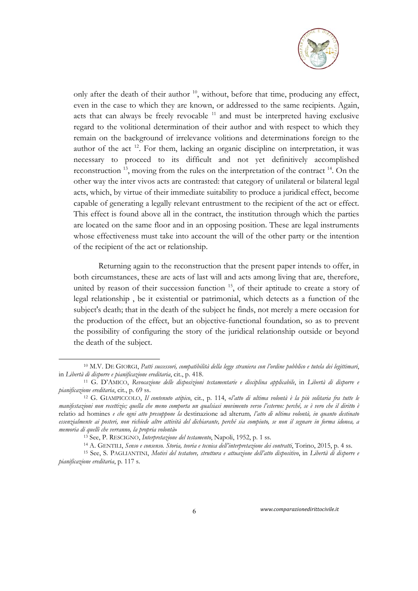

only after the death of their author  $10$ , without, before that time, producing any effect, even in the case to which they are known, or addressed to the same recipients. Again, acts that can always be freely revocable  $11$  and must be interpreted having exclusive regard to the volitional determination of their author and with respect to which they remain on the background of irrelevance volitions and determinations foreign to the author of the act 12. For them, lacking an organic discipline on interpretation, it was necessary to proceed to its difficult and not yet definitively accomplished reconstruction  $13$ , moving from the rules on the interpretation of the contract  $14$ . On the other way the inter vivos acts are contrasted: that category of unilateral or bilateral legal acts, which, by virtue of their immediate suitability to produce a juridical effect, become capable of generating a legally relevant entrustment to the recipient of the act or effect. This effect is found above all in the contract, the institution through which the parties are located on the same floor and in an opposing position. These are legal instruments whose effectiveness must take into account the will of the other party or the intention of the recipient of the act or relationship.

Returning again to the reconstruction that the present paper intends to offer, in both circumstances, these are acts of last will and acts among living that are, therefore, united by reason of their succession function  $15$ , of their aptitude to create a story of legal relationship , be it existential or patrimonial, which detects as a function of the subject's death; that in the death of the subject he finds, not merely a mere occasion for the production of the effect, but an objective-functional foundation, so as to prevent the possibility of configuring the story of the juridical relationship outside or beyond the death of the subject.

-

<sup>10</sup> M.V. DE GIORGI, *Patti successori, compatibilità della legge straniera con l'ordine pubblico e tutela dei legittimari*,

in *Libertà di disporre e pianificazione ereditaria*, cit., p. 418.<br><sup>11</sup> G. D'AMICO, *Revocazione delle disposizioni testamentarie e disciplina applicabile*, in *Libertà di disporre e*<br>*pianificazione ereditaria*, cit., p.

*pianificazione ereditaria*, cit., p. 69 ss. 12 G. GIAMPICCOLO, *Il contenuto atipico*, cit., p. 114, «*l'atto di ultima volontà è la più solitaria fra tutte le manifestazioni non recettizie; quella che meno comporta un qualsiasi movimento verso l'esterno: perché, se è vero che il diritto è*  relatio ad homines *e che ogni atto presuppone la* destinazione ad alterum*, l'atto di ultima volontà, in quanto destinato essenzialmente ai posteri, non richiede altre attività del dichiarante, perché sia compiuto, se non il segnare in forma idonea, a*  memoria di quelli che verranno, la propria volontà»<br><sup>13</sup> See, P. RESCIGNO, Interpretazione del testamento, Napoli, 1952, p. 1 ss.<br><sup>14</sup> A. GENTILI, *Senso e consenso. Storia, teoria e tecnica dell'interpretazione dei contra* 

*pianificazione ereditaria*, p. 117 s.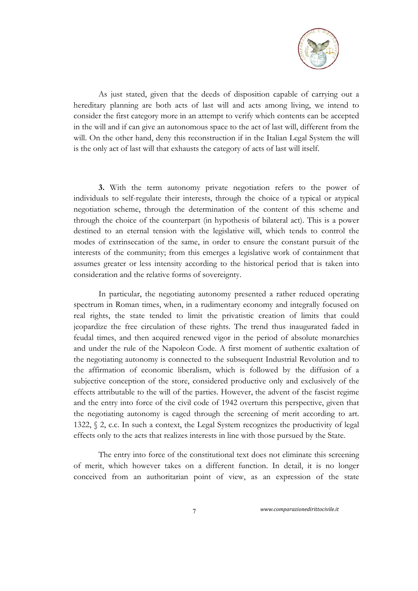

As just stated, given that the deeds of disposition capable of carrying out a hereditary planning are both acts of last will and acts among living, we intend to consider the first category more in an attempt to verify which contents can be accepted in the will and if can give an autonomous space to the act of last will, different from the will. On the other hand, deny this reconstruction if in the Italian Legal System the will is the only act of last will that exhausts the category of acts of last will itself.

**3.** With the term autonomy private negotiation refers to the power of individuals to self-regulate their interests, through the choice of a typical or atypical negotiation scheme, through the determination of the content of this scheme and through the choice of the counterpart (in hypothesis of bilateral act). This is a power destined to an eternal tension with the legislative will, which tends to control the modes of extrinsecation of the same, in order to ensure the constant pursuit of the interests of the community; from this emerges a legislative work of containment that assumes greater or less intensity according to the historical period that is taken into consideration and the relative forms of sovereignty.

In particular, the negotiating autonomy presented a rather reduced operating spectrum in Roman times, when, in a rudimentary economy and integrally focused on real rights, the state tended to limit the privatistic creation of limits that could jeopardize the free circulation of these rights. The trend thus inaugurated faded in feudal times, and then acquired renewed vigor in the period of absolute monarchies and under the rule of the Napoleon Code. A first moment of authentic exaltation of the negotiating autonomy is connected to the subsequent Industrial Revolution and to the affirmation of economic liberalism, which is followed by the diffusion of a subjective conception of the store, considered productive only and exclusively of the effects attributable to the will of the parties. However, the advent of the fascist regime and the entry into force of the civil code of 1942 overturn this perspective, given that the negotiating autonomy is caged through the screening of merit according to art. 1322, § 2, c.c. In such a context, the Legal System recognizes the productivity of legal effects only to the acts that realizes interests in line with those pursued by the State.

The entry into force of the constitutional text does not eliminate this screening of merit, which however takes on a different function. In detail, it is no longer conceived from an authoritarian point of view, as an expression of the state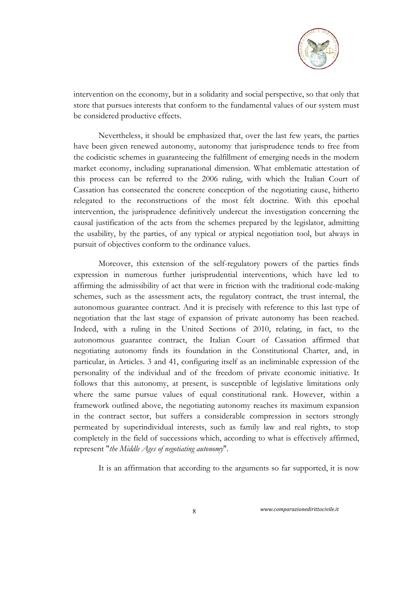

intervention on the economy, but in a solidarity and social perspective, so that only that store that pursues interests that conform to the fundamental values of our system must be considered productive effects.

Nevertheless, it should be emphasized that, over the last few years, the parties have been given renewed autonomy, autonomy that jurisprudence tends to free from the codicistic schemes in guaranteeing the fulfillment of emerging needs in the modern market economy, including supranational dimension. What emblematic attestation of this process can be referred to the 2006 ruling, with which the Italian Court of Cassation has consecrated the concrete conception of the negotiating cause, hitherto relegated to the reconstructions of the most felt doctrine. With this epochal intervention, the jurisprudence definitively undercut the investigation concerning the causal justification of the acts from the schemes prepared by the legislator, admitting the usability, by the parties, of any typical or atypical negotiation tool, but always in pursuit of objectives conform to the ordinance values.

Moreover, this extension of the self-regulatory powers of the parties finds expression in numerous further jurisprudential interventions, which have led to affirming the admissibility of act that were in friction with the traditional code-making schemes, such as the assessment acts, the regulatory contract, the trust internal, the autonomous guarantee contract. And it is precisely with reference to this last type of negotiation that the last stage of expansion of private autonomy has been reached. Indeed, with a ruling in the United Sections of 2010, relating, in fact, to the autonomous guarantee contract, the Italian Court of Cassation affirmed that negotiating autonomy finds its foundation in the Constitutional Charter, and, in particular, in Articles. 3 and 41, configuring itself as an ineliminable expression of the personality of the individual and of the freedom of private economic initiative. It follows that this autonomy, at present, is susceptible of legislative limitations only where the same pursue values of equal constitutional rank. However, within a framework outlined above, the negotiating autonomy reaches its maximum expansion in the contract sector, but suffers a considerable compression in sectors strongly permeated by superindividual interests, such as family law and real rights, to stop completely in the field of successions which, according to what is effectively affirmed, represent "*the Middle Ages of negotiating autonomy*".

It is an affirmation that according to the arguments so far supported, it is now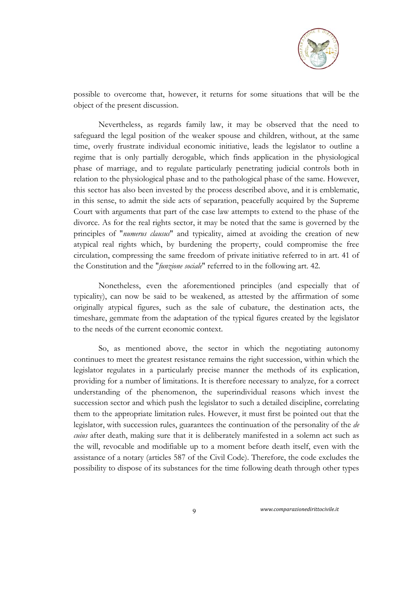

possible to overcome that, however, it returns for some situations that will be the object of the present discussion.

Nevertheless, as regards family law, it may be observed that the need to safeguard the legal position of the weaker spouse and children, without, at the same time, overly frustrate individual economic initiative, leads the legislator to outline a regime that is only partially derogable, which finds application in the physiological phase of marriage, and to regulate particularly penetrating judicial controls both in relation to the physiological phase and to the pathological phase of the same. However, this sector has also been invested by the process described above, and it is emblematic, in this sense, to admit the side acts of separation, peacefully acquired by the Supreme Court with arguments that part of the case law attempts to extend to the phase of the divorce. As for the real rights sector, it may be noted that the same is governed by the principles of "*numerus clausus*" and typicality, aimed at avoiding the creation of new atypical real rights which, by burdening the property, could compromise the free circulation, compressing the same freedom of private initiative referred to in art. 41 of the Constitution and the "*funzione sociale*" referred to in the following art. 42.

Nonetheless, even the aforementioned principles (and especially that of typicality), can now be said to be weakened, as attested by the affirmation of some originally atypical figures, such as the sale of cubature, the destination acts, the timeshare, gemmate from the adaptation of the typical figures created by the legislator to the needs of the current economic context.

So, as mentioned above, the sector in which the negotiating autonomy continues to meet the greatest resistance remains the right succession, within which the legislator regulates in a particularly precise manner the methods of its explication, providing for a number of limitations. It is therefore necessary to analyze, for a correct understanding of the phenomenon, the superindividual reasons which invest the succession sector and which push the legislator to such a detailed discipline, correlating them to the appropriate limitation rules. However, it must first be pointed out that the legislator, with succession rules, guarantees the continuation of the personality of the *de cuius* after death, making sure that it is deliberately manifested in a solemn act such as the will, revocable and modifiable up to a moment before death itself, even with the assistance of a notary (articles 587 of the Civil Code). Therefore, the code excludes the possibility to dispose of its substances for the time following death through other types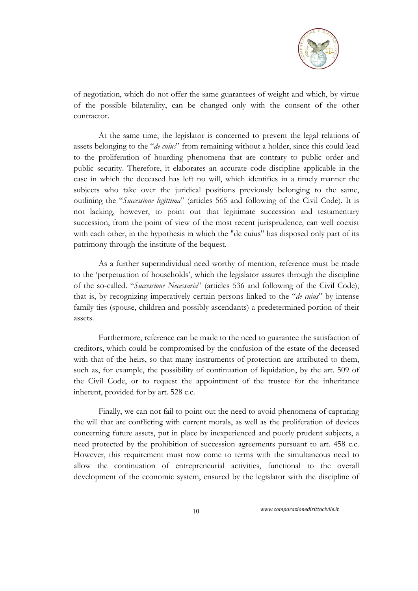

of negotiation, which do not offer the same guarantees of weight and which, by virtue of the possible bilaterality, can be changed only with the consent of the other contractor.

At the same time, the legislator is concerned to prevent the legal relations of assets belonging to the "*de cuius*" from remaining without a holder, since this could lead to the proliferation of hoarding phenomena that are contrary to public order and public security. Therefore, it elaborates an accurate code discipline applicable in the case in which the deceased has left no will, which identifies in a timely manner the subjects who take over the juridical positions previously belonging to the same, outlining the "*Successione legittima*" (articles 565 and following of the Civil Code). It is not lacking, however, to point out that legitimate succession and testamentary succession, from the point of view of the most recent jurisprudence, can well coexist with each other, in the hypothesis in which the "de cuius" has disposed only part of its patrimony through the institute of the bequest.

As a further superindividual need worthy of mention, reference must be made to the 'perpetuation of households', which the legislator assures through the discipline of the so-called. "*Successione Necessaria*" (articles 536 and following of the Civil Code), that is, by recognizing imperatively certain persons linked to the "*de cuius*" by intense family ties (spouse, children and possibly ascendants) a predetermined portion of their assets.

Furthermore, reference can be made to the need to guarantee the satisfaction of creditors, which could be compromised by the confusion of the estate of the deceased with that of the heirs, so that many instruments of protection are attributed to them, such as, for example, the possibility of continuation of liquidation, by the art. 509 of the Civil Code, or to request the appointment of the trustee for the inheritance inherent, provided for by art. 528 c.c.

Finally, we can not fail to point out the need to avoid phenomena of capturing the will that are conflicting with current morals, as well as the proliferation of devices concerning future assets, put in place by inexperienced and poorly prudent subjects, a need protected by the prohibition of succession agreements pursuant to art. 458 c.c. However, this requirement must now come to terms with the simultaneous need to allow the continuation of entrepreneurial activities, functional to the overall development of the economic system, ensured by the legislator with the discipline of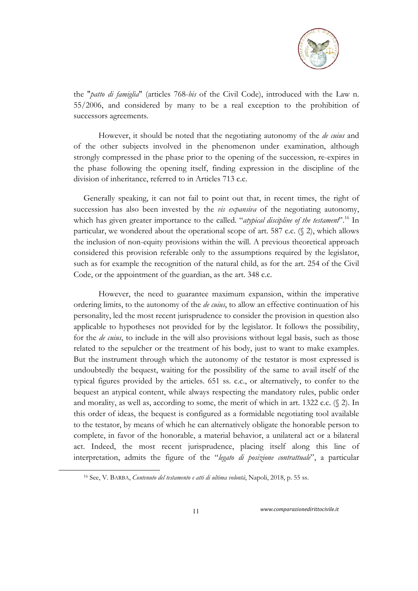

the "*patto di famiglia*" (articles 768-*bis* of the Civil Code), introduced with the Law n. 55/2006, and considered by many to be a real exception to the prohibition of successors agreements.

However, it should be noted that the negotiating autonomy of the *de cuius* and of the other subjects involved in the phenomenon under examination, although strongly compressed in the phase prior to the opening of the succession, re-expires in the phase following the opening itself, finding expression in the discipline of the division of inheritance, referred to in Articles 713 c.c.

Generally speaking, it can not fail to point out that, in recent times, the right of succession has also been invested by the *vis expansiva* of the negotiating autonomy, which has given greater importance to the called. "*atypical discipline of the testament*".<sup>16</sup> In particular, we wondered about the operational scope of art. 587 c.c. (§ 2), which allows the inclusion of non-equity provisions within the will. A previous theoretical approach considered this provision referable only to the assumptions required by the legislator, such as for example the recognition of the natural child, as for the art. 254 of the Civil Code, or the appointment of the guardian, as the art. 348 c.c.

However, the need to guarantee maximum expansion, within the imperative ordering limits, to the autonomy of the *de cuius*, to allow an effective continuation of his personality, led the most recent jurisprudence to consider the provision in question also applicable to hypotheses not provided for by the legislator. It follows the possibility, for the *de cuius*, to include in the will also provisions without legal basis, such as those related to the sepulcher or the treatment of his body, just to want to make examples. But the instrument through which the autonomy of the testator is most expressed is undoubtedly the bequest, waiting for the possibility of the same to avail itself of the typical figures provided by the articles. 651 ss. c.c., or alternatively, to confer to the bequest an atypical content, while always respecting the mandatory rules, public order and morality, as well as, according to some, the merit of which in art. 1322 c.c. (§ 2). In this order of ideas, the bequest is configured as a formidable negotiating tool available to the testator, by means of which he can alternatively obligate the honorable person to complete, in favor of the honorable, a material behavior, a unilateral act or a bilateral act. Indeed, the most recent jurisprudence, placing itself along this line of interpretation, admits the figure of the "*legato di posizione contrattuale*", a particular

-

<sup>16</sup> See, V. BARBA, *Contenuto del testamento e atti di ultima volontà*, Napoli, 2018, p. 55 ss.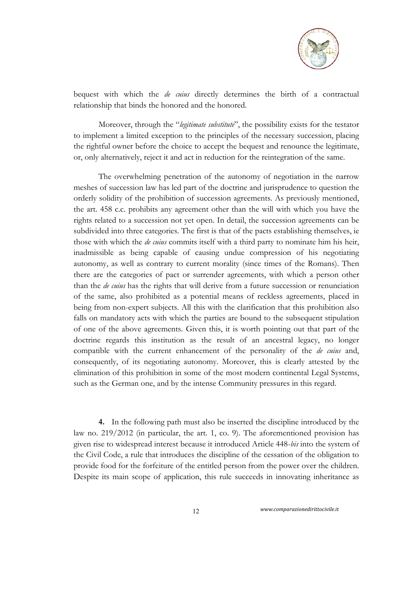

bequest with which the *de cuius* directly determines the birth of a contractual relationship that binds the honored and the honored.

Moreover, through the "*legitimate substitute*", the possibility exists for the testator to implement a limited exception to the principles of the necessary succession, placing the rightful owner before the choice to accept the bequest and renounce the legitimate, or, only alternatively, reject it and act in reduction for the reintegration of the same.

The overwhelming penetration of the autonomy of negotiation in the narrow meshes of succession law has led part of the doctrine and jurisprudence to question the orderly solidity of the prohibition of succession agreements. As previously mentioned, the art. 458 c.c. prohibits any agreement other than the will with which you have the rights related to a succession not yet open. In detail, the succession agreements can be subdivided into three categories. The first is that of the pacts establishing themselves, ie those with which the *de cuius* commits itself with a third party to nominate him his heir, inadmissible as being capable of causing undue compression of his negotiating autonomy, as well as contrary to current morality (since times of the Romans). Then there are the categories of pact or surrender agreements, with which a person other than the *de cuius* has the rights that will derive from a future succession or renunciation of the same, also prohibited as a potential means of reckless agreements, placed in being from non-expert subjects. All this with the clarification that this prohibition also falls on mandatory acts with which the parties are bound to the subsequent stipulation of one of the above agreements. Given this, it is worth pointing out that part of the doctrine regards this institution as the result of an ancestral legacy, no longer compatible with the current enhancement of the personality of the *de cuius* and, consequently, of its negotiating autonomy. Moreover, this is clearly attested by the elimination of this prohibition in some of the most modern continental Legal Systems, such as the German one, and by the intense Community pressures in this regard.

**4.** In the following path must also be inserted the discipline introduced by the law no. 219/2012 (in particular, the art. 1, co. 9). The aforementioned provision has given rise to widespread interest because it introduced Article 448-*bis* into the system of the Civil Code, a rule that introduces the discipline of the cessation of the obligation to provide food for the forfeiture of the entitled person from the power over the children. Despite its main scope of application, this rule succeeds in innovating inheritance as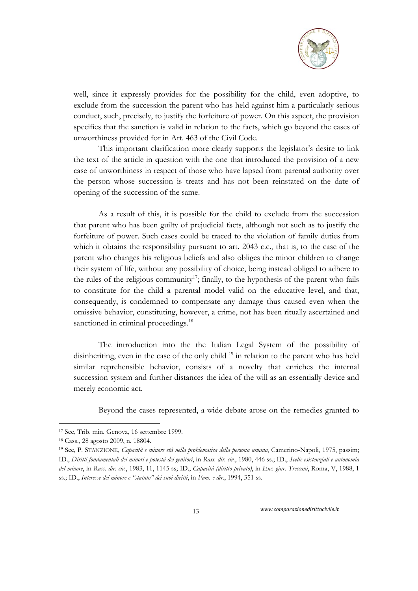

well, since it expressly provides for the possibility for the child, even adoptive, to exclude from the succession the parent who has held against him a particularly serious conduct, such, precisely, to justify the forfeiture of power. On this aspect, the provision specifies that the sanction is valid in relation to the facts, which go beyond the cases of unworthiness provided for in Art. 463 of the Civil Code.

This important clarification more clearly supports the legislator's desire to link the text of the article in question with the one that introduced the provision of a new case of unworthiness in respect of those who have lapsed from parental authority over the person whose succession is treats and has not been reinstated on the date of opening of the succession of the same.

As a result of this, it is possible for the child to exclude from the succession that parent who has been guilty of prejudicial facts, although not such as to justify the forfeiture of power. Such cases could be traced to the violation of family duties from which it obtains the responsibility pursuant to art. 2043 c.c., that is, to the case of the parent who changes his religious beliefs and also obliges the minor children to change their system of life, without any possibility of choice, being instead obliged to adhere to the rules of the religious community<sup>17</sup>; finally, to the hypothesis of the parent who fails to constitute for the child a parental model valid on the educative level, and that, consequently, is condemned to compensate any damage thus caused even when the omissive behavior, constituting, however, a crime, not has been ritually ascertained and sanctioned in criminal proceedings.<sup>18</sup>

The introduction into the the Italian Legal System of the possibility of disinheriting, even in the case of the only child <sup>19</sup> in relation to the parent who has held similar reprehensible behavior, consists of a novelty that enriches the internal succession system and further distances the idea of the will as an essentially device and merely economic act.

Beyond the cases represented, a wide debate arose on the remedies granted to

-

<sup>17</sup> See, Trib. min. Genova, 16 settembre 1999.

<sup>18</sup> Cass., 28 agosto 2009, n. 18804.

<sup>19</sup> See, P. STANZIONE, *Capacità e minore età nella problematica della persona umana*, Camerino-Napoli, 1975, passim; ID., *Diritti fondamentali dei minori e potestà dei genitori*, in *Rass. dir. civ.*, 1980, 446 ss.; ID., *Scelte esistenziali e autonomia del minore*, in *Rass. dir. civ*., 1983, 11, 1145 ss; ID., *Capacità (diritto privato)*, in *Enc. giur. Treccani*, Roma, V, 1988, 1 ss.; ID., *Interesse del minore e "statuto" dei suoi diritti*, in *Fam. e dir.*, 1994, 351 ss.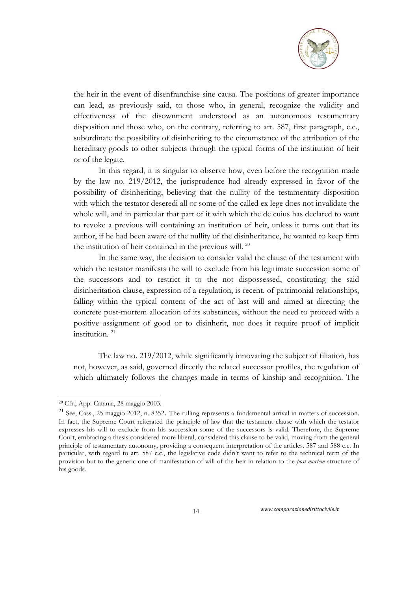

the heir in the event of disenfranchise sine causa. The positions of greater importance can lead, as previously said, to those who, in general, recognize the validity and effectiveness of the disownment understood as an autonomous testamentary disposition and those who, on the contrary, referring to art. 587, first paragraph, c.c., subordinate the possibility of disinheriting to the circumstance of the attribution of the hereditary goods to other subjects through the typical forms of the institution of heir or of the legate.

In this regard, it is singular to observe how, even before the recognition made by the law no. 219/2012, the jurisprudence had already expressed in favor of the possibility of disinheriting, believing that the nullity of the testamentary disposition with which the testator deseredi all or some of the called ex lege does not invalidate the whole will, and in particular that part of it with which the de cuius has declared to want to revoke a previous will containing an institution of heir, unless it turns out that its author, if he had been aware of the nullity of the disinheritance, he wanted to keep firm the institution of heir contained in the previous will. <sup>20</sup>

In the same way, the decision to consider valid the clause of the testament with which the testator manifests the will to exclude from his legitimate succession some of the successors and to restrict it to the not dispossessed, constituting the said disinheritation clause, expression of a regulation, is recent. of patrimonial relationships, falling within the typical content of the act of last will and aimed at directing the concrete post-mortem allocation of its substances, without the need to proceed with a positive assignment of good or to disinherit, nor does it require proof of implicit institution. 21

The law no. 219/2012, while significantly innovating the subject of filiation, has not, however, as said, governed directly the related successor profiles, the regulation of which ultimately follows the changes made in terms of kinship and recognition. The

1

<sup>20</sup> Cfr., App. Catania, 28 maggio 2003.

<sup>&</sup>lt;sup>21</sup> See, Cass., 25 maggio 2012, n. 8352. The rulling represents a fundamental arrival in matters of succession. In fact, the Supreme Court reiterated the principle of law that the testament clause with which the testator expresses his will to exclude from his succession some of the successors is valid. Therefore, the Supreme Court, embracing a thesis considered more liberal, considered this clause to be valid, moving from the general principle of testamentary autonomy, providing a consequent interpretation of the articles. 587 and 588 c.c. In particular, with regard to art. 587 c.c., the legislative code didn't want to refer to the technical term of the provision but to the generic one of manifestation of will of the heir in relation to the *post-mortem* structure of his goods.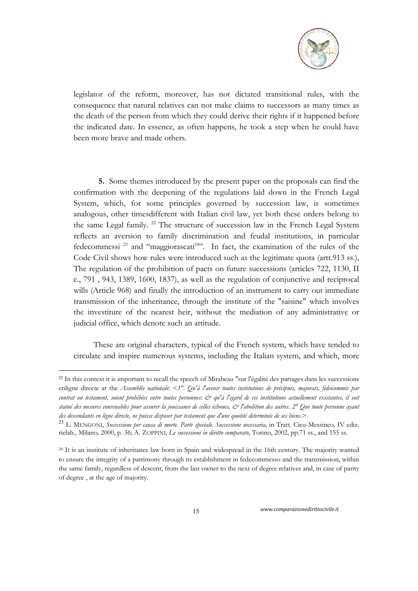

legislator of the reform, moreover, has not dictated transitional rules, with the consequence that natural relatives can not make claims to successors as many times as the death of the person from which they could derive their rights if it happened before the indicated date. In essence, as often happens, he took a step when he could have been more brave and made others.

**5.** Some themes introduced by the present paper on the proposals can find the confirmation with the deepening of the regulations laid down in the French Legal System, which, for some principles governed by succession law, is sometimes analogous, other timesdifferent with Italian civil law, yet both these orders belong to the same Legal family. <sup>22</sup> The structure of succession law in the French Legal System reflects an aversion to family discrimination and feudal institutions, in particular fedecommessi<sup>23</sup> and "maggiorascati<sup>24</sup>". In fact, the examination of the rules of the Code Civil shows how rules were introduced such as the legitimate quota (artt.913 ss.), The regulation of the prohibition of pacts on future successions (articles 722, 1130, II c., 791 , 943, 1389, 1600, 1837), as well as the regulation of conjunctive and reciprocal wills (Article 968) and finally the introduction of an instrument to carry out immediate transmission of the inheritance, through the institute of the "saisine" which involves the investiture of the nearest heir, without the mediation of any administrative or judicial office, which denote such an attitude.

These are original characters, typical of the French system, which have tended to circulate and inspire numerous systems, including the Italian system, and which, more

1

<sup>22</sup> In this context it is important to recall the speech of Mirabeau "sur l'égalité des partages dans les successions enligne directe at the *Assemblée nationale*: <*1°. Qu'à l'avenir toutes institutions de préciputs, majorats, fideicommis par*  contrat ou testament, soient prohibées entre toutes personnes: & qu'à l'egard de ces institutions actuellement existantes, il soit *statué des mesures convenables pour assurer la jouissance de celles échoues, & l'abolition des autres. 2° Que toute personne ayant des descendants en ligne directe, ne puisse disposer par testament que d'une quotité determinée de ses biens*.>.

<sup>23</sup> L. MENGONI, *Successione per causa di morte. Parte speciale. Successione necessaria,* in Tratt. Cicu-Messineo*,* IV ediz. rielab.*,* Milano*,* 2000, p. 36; A. ZOPPINI, *Le successioni in diritto comparato*, Torino, 2002, pp.71 ss., and 155 ss.

<sup>&</sup>lt;sup>24</sup> It is an institute of inheritance law born in Spain and widespread in the 16th century. The majority wanted to ensure the integrity of a patrimony through its establishment in fedecommesso and the transmission, within the same family, regardless of descent, from the last owner to the next of degree relatives and, in case of parity of degree , at the age of majority.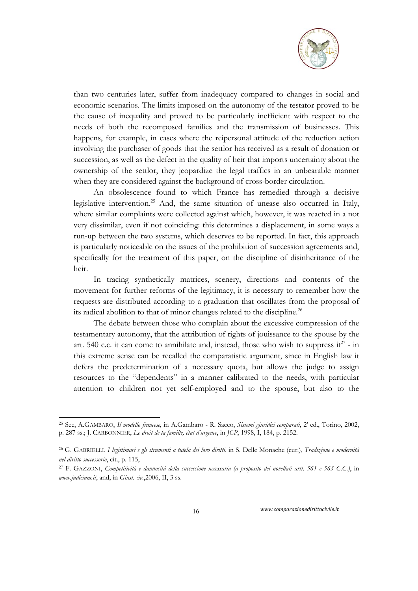

than two centuries later, suffer from inadequacy compared to changes in social and economic scenarios. The limits imposed on the autonomy of the testator proved to be the cause of inequality and proved to be particularly inefficient with respect to the needs of both the recomposed families and the transmission of businesses. This happens, for example, in cases where the reipersonal attitude of the reduction action involving the purchaser of goods that the settlor has received as a result of donation or succession, as well as the defect in the quality of heir that imports uncertainty about the ownership of the settlor, they jeopardize the legal traffics in an unbearable manner when they are considered against the background of cross-border circulation.

An obsolescence found to which France has remedied through a decisive legislative intervention.<sup>25</sup> And, the same situation of unease also occurred in Italy, where similar complaints were collected against which, however, it was reacted in a not very dissimilar, even if not coinciding: this determines a displacement, in some ways a run-up between the two systems, which deserves to be reported. In fact, this approach is particularly noticeable on the issues of the prohibition of succession agreements and, specifically for the treatment of this paper, on the discipline of disinheritance of the heir.

In tracing synthetically matrices, scenery, directions and contents of the movement for further reforms of the legitimacy, it is necessary to remember how the requests are distributed according to a graduation that oscillates from the proposal of its radical abolition to that of minor changes related to the discipline.<sup>26</sup>

The debate between those who complain about the excessive compression of the testamentary autonomy, that the attribution of rights of jouissance to the spouse by the art. 540 c.c. it can come to annihilate and, instead, those who wish to suppress  $it^{27}$  - in this extreme sense can be recalled the comparatistic argument, since in English law it defers the predetermination of a necessary quota, but allows the judge to assign resources to the "dependents" in a manner calibrated to the needs, with particular attention to children not yet self-employed and to the spouse, but also to the

1

<sup>25</sup> See, A.GAMBARO, *Il modello francese*, in A.Gambaro - R. Sacco, *Sistemi giuridici comparati*, 2' ed., Torino, 2002, p. 287 ss.; J. CARBONNIER, *Le droit de la famille, état d'urgence*, in *JCP*, 1998, I, 184, p. 2152.

<sup>26</sup> G. GABRIELLI, *I legittimari e gli strumenti a tutela dei loro diritti*, in S. Delle Monache (cur.), *Tradizione e modernità nel diritto successorio*, cit., p. 115,

<sup>27</sup> F. GAZZONI, *Competitività e dannosità della successione necessaria (a proposito dei novellati artt. 561 e 563 C.C.)*, in *www.judicium.it*, and, in *Giust. civ*.,2006, II, 3 ss.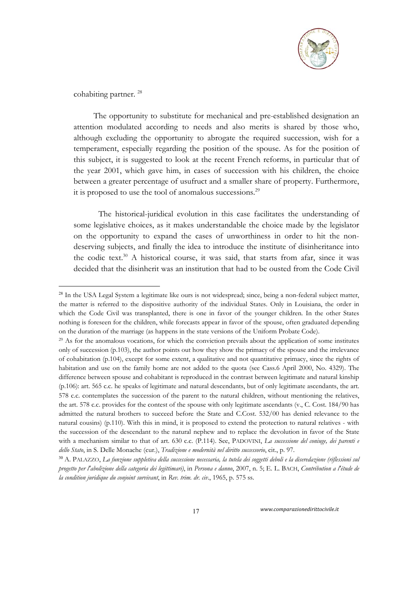

cohabiting partner.<sup>28</sup>

1

The opportunity to substitute for mechanical and pre-established designation an attention modulated according to needs and also merits is shared by those who, although excluding the opportunity to abrogate the required succession, wish for a temperament, especially regarding the position of the spouse. As for the position of this subject, it is suggested to look at the recent French reforms, in particular that of the year 2001, which gave him, in cases of succession with his children, the choice between a greater percentage of usufruct and a smaller share of property. Furthermore, it is proposed to use the tool of anomalous successions.29

The historical-juridical evolution in this case facilitates the understanding of some legislative choices, as it makes understandable the choice made by the legislator on the opportunity to expand the cases of unworthiness in order to hit the nondeserving subjects, and finally the idea to introduce the institute of disinheritance into the codic text.<sup>30</sup> A historical course, it was said, that starts from afar, since it was decided that the disinherit was an institution that had to be ousted from the Code Civil

<sup>&</sup>lt;sup>28</sup> In the USA Legal System a legitimate like ours is not widespread; since, being a non-federal subject matter, the matter is referred to the dispositive authority of the individual States. Only in Louisiana, the order in which the Code Civil was transplanted, there is one in favor of the younger children. In the other States nothing is foreseen for the children, while forecasts appear in favor of the spouse, often graduated depending on the duration of the marriage (as happens in the state versions of the Uniform Probate Code).

<sup>&</sup>lt;sup>29</sup> As for the anomalous vocations, for which the conviction prevails about the application of some institutes only of succession (p.103), the author points out how they show the primacy of the spouse and the irrelevance of cohabitation (p.104), except for some extent, a qualitative and not quantitative primacy, since the rights of habitation and use on the family home are not added to the quota (see Cass.6 April 2000, No. 4329). The difference between spouse and cohabitant is reproduced in the contrast between legitimate and natural kinship (p.106): art. 565 c.c. he speaks of legitimate and natural descendants, but of only legitimate ascendants, the art. 578 c.c. contemplates the succession of the parent to the natural children, without mentioning the relatives, the art. 578 c.c. provides for the contest of the spouse with only legitimate ascendants (v., C. Cost. 184/90 has admitted the natural brothers to succeed before the State and C.Cost. 532/00 has denied relevance to the natural cousins) (p.110). With this in mind, it is proposed to extend the protection to natural relatives - with the succession of the descendant to the natural nephew and to replace the devolution in favor of the State with a mechanism similar to that of art. 630 c.c. (P.114). See, PADOVINI, *La successione del coniuge, dei parenti e dello Stato*, in S. Delle Monache (cur.), *Tradizione e modernità nel diritto successorio*, cit., p. 97.

<sup>30</sup> A. PALAZZO, *La funzione suppletiva della successione necessaria, la tutela dei soggetti deboli e la diseredazione (riflessioni sul progetto per l'abolizione della categoria dei legittimari)*, in *Persona e danno*, 2007, n. 5; E. L. BACH, *Contribution a l'étude de la condition juridique du conjoint survivant*, in *Rev. trim. dr. civ*., 1965, p. 575 ss.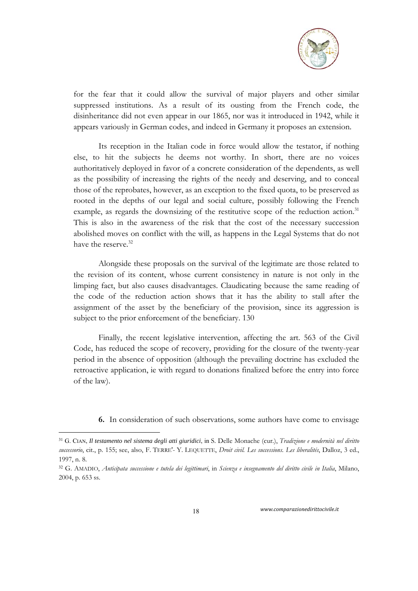

for the fear that it could allow the survival of major players and other similar suppressed institutions. As a result of its ousting from the French code, the disinheritance did not even appear in our 1865, nor was it introduced in 1942, while it appears variously in German codes, and indeed in Germany it proposes an extension.

Its reception in the Italian code in force would allow the testator, if nothing else, to hit the subjects he deems not worthy. In short, there are no voices authoritatively deployed in favor of a concrete consideration of the dependents, as well as the possibility of increasing the rights of the needy and deserving, and to conceal those of the reprobates, however, as an exception to the fixed quota, to be preserved as rooted in the depths of our legal and social culture, possibly following the French example, as regards the downsizing of the restitutive scope of the reduction action.<sup>31</sup> This is also in the awareness of the risk that the cost of the necessary succession abolished moves on conflict with the will, as happens in the Legal Systems that do not have the reserve.<sup>32</sup>

Alongside these proposals on the survival of the legitimate are those related to the revision of its content, whose current consistency in nature is not only in the limping fact, but also causes disadvantages. Claudicating because the same reading of the code of the reduction action shows that it has the ability to stall after the assignment of the asset by the beneficiary of the provision, since its aggression is subject to the prior enforcement of the beneficiary. 130

Finally, the recent legislative intervention, affecting the art. 563 of the Civil Code, has reduced the scope of recovery, providing for the closure of the twenty-year period in the absence of opposition (although the prevailing doctrine has excluded the retroactive application, ie with regard to donations finalized before the entry into force of the law).

**6.** In consideration of such observations, some authors have come to envisage

18 *www.comparazionedirittocivile.it* 

1

<sup>31</sup> G. CIAN, *Il testamento nel sistema degli atti giuridici*, in S. Delle Monache (cur.), *Tradizione e modernità nel diritto successorio*, cit., p. 155; see, also, F. TERRE'- Y. LEQUETTE, *Droit civil. Les successions. Les liberalités*, Dalloz, 3 ed., 1997, n. 8.

<sup>32</sup> G. AMADIO, *Anticipata successione e tutela dei legittimari*, in *Scienza e insegnamento del diritto civile in Italia*, Milano, 2004, p. 653 ss.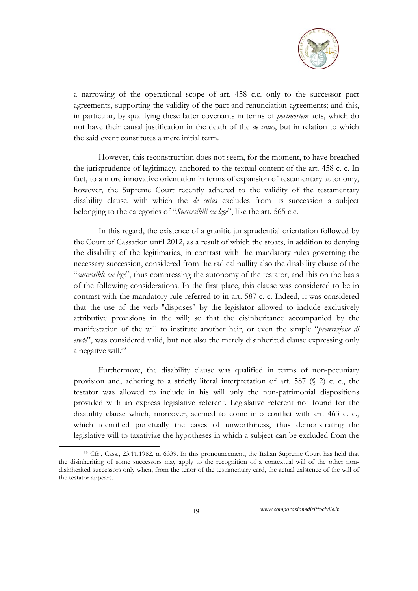

a narrowing of the operational scope of art. 458 c.c. only to the successor pact agreements, supporting the validity of the pact and renunciation agreements; and this, in particular, by qualifying these latter covenants in terms of *postmortem* acts, which do not have their causal justification in the death of the *de cuius*, but in relation to which the said event constitutes a mere initial term.

However, this reconstruction does not seem, for the moment, to have breached the jurisprudence of legitimacy, anchored to the textual content of the art. 458 c. c. In fact, to a more innovative orientation in terms of expansion of testamentary autonomy, however, the Supreme Court recently adhered to the validity of the testamentary disability clause, with which the *de cuius* excludes from its succession a subject belonging to the categories of "*Successibili ex lege*", like the art. 565 c.c.

In this regard, the existence of a granitic jurisprudential orientation followed by the Court of Cassation until 2012, as a result of which the stoats, in addition to denying the disability of the legitimaries, in contrast with the mandatory rules governing the necessary succession, considered from the radical nullity also the disability clause of the "*successible ex lege*", thus compressing the autonomy of the testator, and this on the basis of the following considerations. In the first place, this clause was considered to be in contrast with the mandatory rule referred to in art. 587 c. c. Indeed, it was considered that the use of the verb "disposes" by the legislator allowed to include exclusively attributive provisions in the will; so that the disinheritance accompanied by the manifestation of the will to institute another heir, or even the simple "*preterizione di erede*", was considered valid, but not also the merely disinherited clause expressing only a negative will.<sup>33</sup>

Furthermore, the disability clause was qualified in terms of non-pecuniary provision and, adhering to a strictly literal interpretation of art. 587 (§ 2) c. c., the testator was allowed to include in his will only the non-patrimonial dispositions provided with an express legislative referent. Legislative referent not found for the disability clause which, moreover, seemed to come into conflict with art. 463 c. c., which identified punctually the cases of unworthiness, thus demonstrating the legislative will to taxativize the hypotheses in which a subject can be excluded from the

19 *www.comparazionedirittocivile.it* 

-

<sup>33</sup> Cfr., Cass., 23.11.1982, n. 6339. In this pronouncement, the Italian Supreme Court has held that the disinheriting of some successors may apply to the recognition of a contextual will of the other nondisinherited successors only when, from the tenor of the testamentary card, the actual existence of the will of the testator appears.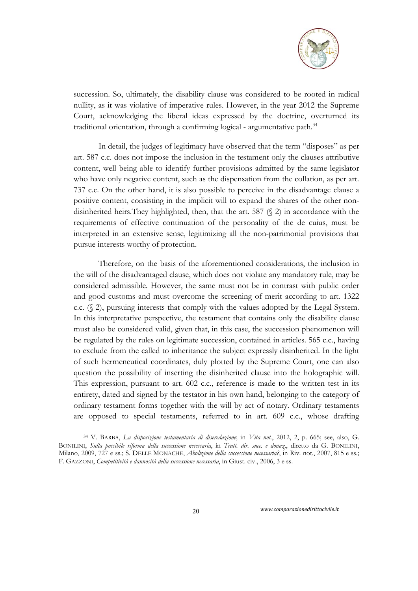

succession. So, ultimately, the disability clause was considered to be rooted in radical nullity, as it was violative of imperative rules. However, in the year 2012 the Supreme Court, acknowledging the liberal ideas expressed by the doctrine, overturned its traditional orientation, through a confirming logical - argumentative path.<sup>34</sup>

In detail, the judges of legitimacy have observed that the term "disposes" as per art. 587 c.c. does not impose the inclusion in the testament only the clauses attributive content, well being able to identify further provisions admitted by the same legislator who have only negative content, such as the dispensation from the collation, as per art. 737 c.c. On the other hand, it is also possible to perceive in the disadvantage clause a positive content, consisting in the implicit will to expand the shares of the other nondisinherited heirs.They highlighted, then, that the art. 587 (§ 2) in accordance with the requirements of effective continuation of the personality of the de cuius, must be interpreted in an extensive sense, legitimizing all the non-patrimonial provisions that pursue interests worthy of protection.

Therefore, on the basis of the aforementioned considerations, the inclusion in the will of the disadvantaged clause, which does not violate any mandatory rule, may be considered admissible. However, the same must not be in contrast with public order and good customs and must overcome the screening of merit according to art. 1322 c.c. (§ 2), pursuing interests that comply with the values adopted by the Legal System. In this interpretative perspective, the testament that contains only the disability clause must also be considered valid, given that, in this case, the succession phenomenon will be regulated by the rules on legitimate succession, contained in articles. 565 c.c., having to exclude from the called to inheritance the subject expressly disinherited. In the light of such hermeneutical coordinates, duly plotted by the Supreme Court, one can also question the possibility of inserting the disinherited clause into the holographic will. This expression, pursuant to art. 602 c.c., reference is made to the written test in its entirety, dated and signed by the testator in his own hand, belonging to the category of ordinary testament forms together with the will by act of notary. Ordinary testaments are opposed to special testaments, referred to in art. 609 c.c., whose drafting

20 *www.comparazionedirittocivile.it* 

-

<sup>34</sup> V. BARBA, *La disposizione testamentaria di diseredazione*; in *Vita not.*, 2012, 2, p. 665; see, also, G. BONILINI, *Sulla possibile riforma della successione necessaria*, in *Tratt. dir. succ. e donaz*., diretto da G. BONILINI, Milano, 2009, 727 e ss.; S. DELLE MONACHE, *Abolizione della successione necessaria?*, in Riv. not., 2007, 815 e ss.; F. GAZZONI, *Competitività e dannosità della successione necessaria*, in Giust. civ., 2006, 3 e ss.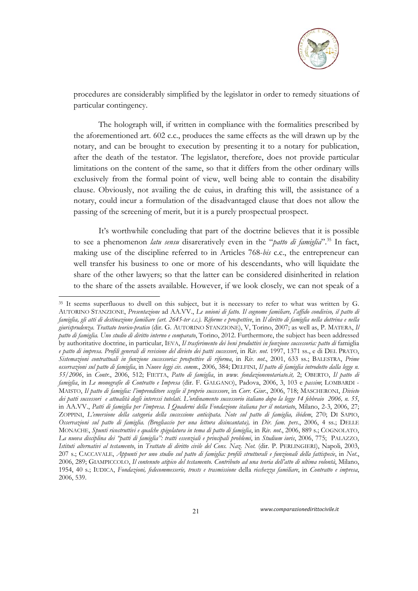

procedures are considerably simplified by the legislator in order to remedy situations of particular contingency.

The holograph will, if written in compliance with the formalities prescribed by the aforementioned art. 602 c.c., produces the same effects as the will drawn up by the notary, and can be brought to execution by presenting it to a notary for publication, after the death of the testator. The legislator, therefore, does not provide particular limitations on the content of the same, so that it differs from the other ordinary wills exclusively from the formal point of view, well being able to contain the disability clause. Obviously, not availing the de cuius, in drafting this will, the assistance of a notary, could incur a formulation of the disadvantaged clause that does not allow the passing of the screening of merit, but it is a purely prospectual prospect.

It's worthwhile concluding that part of the doctrine believes that it is possible to see a phenomenon *latu sensu* disareratively even in the "*patto di famiglia*".35 In fact, making use of the discipline referred to in Articles 768-*bis* c.c., the entrepreneur can well transfer his business to one or more of his descendants, who will liquidate the share of the other lawyers; so that the latter can be considered disinherited in relation to the share of the assets available. However, if we look closely, we can not speak of a

-

<sup>&</sup>lt;sup>35</sup> It seems superfluous to dwell on this subject, but it is necessary to refer to what was written by G. AUTORINO STANZIONE, *Presentazione* ad AA.VV., *Le unioni di fatto. Il cognome familiare, l'affido condiviso, il patto di famiglia, gli atti di destinazione familiare (art. 2645-ter c.c.). Riforme e prospettive*, in *Il diritto di famiglia nella dottrina e nella giurisprudenza. Trattato teorico-pratico* (dir. G. AUTORINO STANZIONE), V, Torino, 2007; as well as, P. MATERA, *Il patto di famiglia. Uno studio di diritto interno e comparato*, Torino, 2012. Furthermore, the subject has been addressed by authoritative doctrine, in particular, IEVA, *Il trasferimento dei beni produttivi in funzione successoria: patto di* famiglia *e patto di impresa. Profili generali di revisione del divieto dei patti successori*, in *Riv. not*. 1997, 1371 ss., e di DEL PRATO, *Sistemazioni contrattuali in funzione successoria: prospettive di riforma*, in *Riv. not*., 2001, 633 ss.; BALESTRA, *Prime osservazioni sul patto di famiglia*, in *Nuove leggi civ. comm.*, 2006, 384; DELFINI, *Il patto di famiglia introdotto dalla legge n. 55/2006*, in *Contr.*, 2006, 512; FIETTA, *Patto di famiglia*, in *www. fondazionenotariato.it,* 2; OBERTO, *Il patto di famiglia*, in *Le monografie di Contratto e Impresa* (dir. F. GALGANO), Padova, 2006, 3, 103 e *passim*; LOMBARDI - MAISTO, *Il patto di famiglia: l'imprenditore sceglie il proprio successore*, in *Corr. Giur*., 2006, 718; MASCHERONI, *Divieto dei patti successori e attualità degli interessi tutelati. L'ordinamento successorio italiano dopo la legge 14 febbraio 2006, n. 55*, in AA.VV., *Patti di famiglia per l'impresa*. *I Quaderni della Fondazione italiana per il notariato*, Milano, 2-3, 2006, 27; ZOPPINI, *L'emersione della categoria della successione anticipata. Note sul patto di famiglia, ibidem*, 270; DI SAPIO, *Osservazioni sul patto di famiglia. (Brogliaccio per una lettura disincantata),* in *Dir. fam. pers*., 2006, 4 ss.; DELLE MONACHE, *Spunti ricostruttivi e qualche spigolatura in tema di patto di famiglia*, in *Riv. not*., 2006, 889 s.; COGNOLATO, *La nuova disciplina dei "patti di famiglia": tratti essenziali e principali problemi*, in *Studium iuris*, 2006, 775; PALAZZO, *Istituti alternativi al testamento*, in *Trattato di diritto civile del Cons. Naz. Not.* (dir. P. PERLINGIERI), Napoli, 2003, 207 s.; CACCAVALE, *Appunti per uno studio sul patto di famiglia: profili strutturali e funzionali della fattispecie*, in *Not*., 2006, 289; GIAMPICCOLO, *Il contenuto atipico del testamento. Contributo ad una teoria dell'atto di ultima volontà*, Milano, 1954, 40 s.; IUDICA, *Fondazioni, fedecommesserie, trusts e trasmissione* della *ricchezza familiare*, in *Contratto e impresa*, 2006, 539.